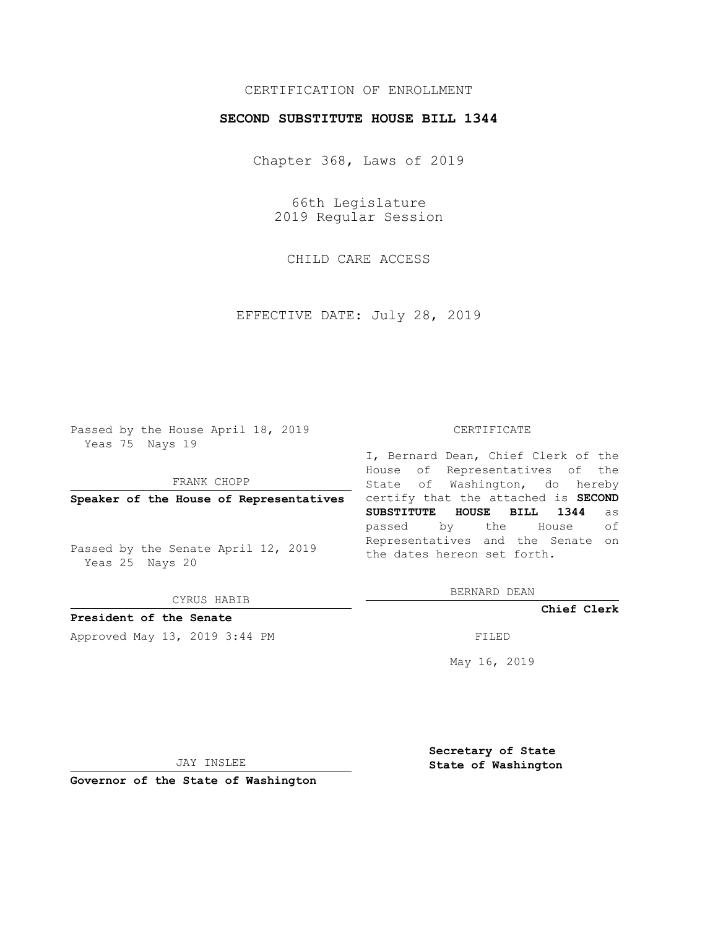## CERTIFICATION OF ENROLLMENT

### **SECOND SUBSTITUTE HOUSE BILL 1344**

Chapter 368, Laws of 2019

66th Legislature 2019 Regular Session

CHILD CARE ACCESS

EFFECTIVE DATE: July 28, 2019

Passed by the House April 18, 2019 Yeas 75 Nays 19

FRANK CHOPP

**Speaker of the House of Representatives**

Passed by the Senate April 12, 2019 Yeas 25 Nays 20

CYRUS HABIB

**President of the Senate**

Approved May 13, 2019 3:44 PM

#### CERTIFICATE

I, Bernard Dean, Chief Clerk of the House of Representatives of the State of Washington, do hereby certify that the attached is **SECOND SUBSTITUTE HOUSE BILL 1344** as passed by the House of Representatives and the Senate on the dates hereon set forth.

BERNARD DEAN

**Chief Clerk**

May 16, 2019

JAY INSLEE

**Governor of the State of Washington**

**Secretary of State State of Washington**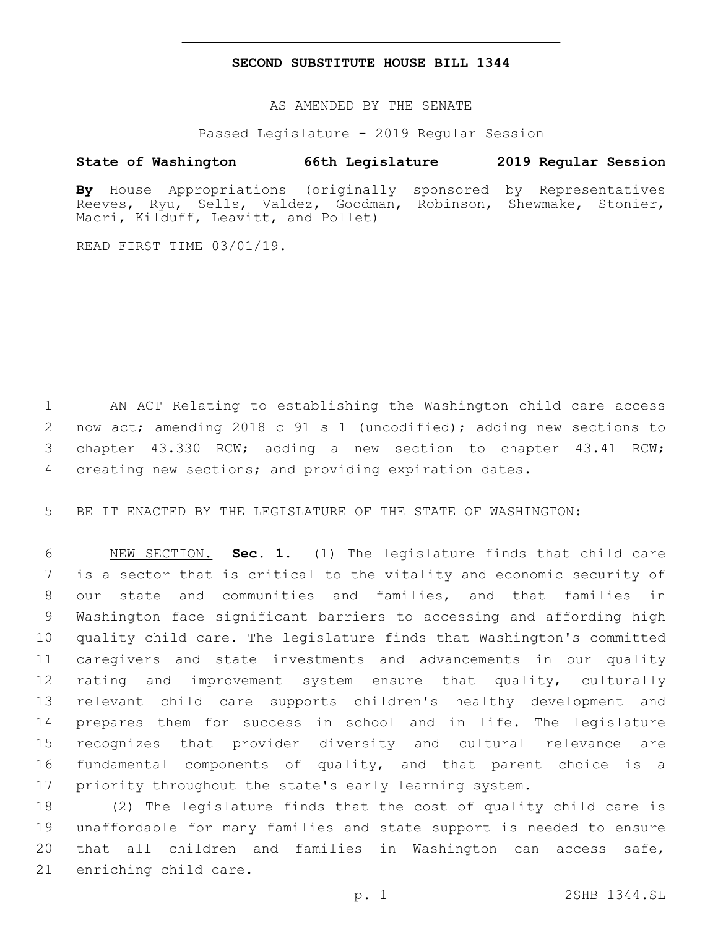### **SECOND SUBSTITUTE HOUSE BILL 1344**

AS AMENDED BY THE SENATE

Passed Legislature - 2019 Regular Session

# **State of Washington 66th Legislature 2019 Regular Session**

**By** House Appropriations (originally sponsored by Representatives Reeves, Ryu, Sells, Valdez, Goodman, Robinson, Shewmake, Stonier, Macri, Kilduff, Leavitt, and Pollet)

READ FIRST TIME 03/01/19.

 AN ACT Relating to establishing the Washington child care access now act; amending 2018 c 91 s 1 (uncodified); adding new sections to chapter 43.330 RCW; adding a new section to chapter 43.41 RCW; creating new sections; and providing expiration dates.

BE IT ENACTED BY THE LEGISLATURE OF THE STATE OF WASHINGTON:

 NEW SECTION. **Sec. 1.** (1) The legislature finds that child care is a sector that is critical to the vitality and economic security of our state and communities and families, and that families in Washington face significant barriers to accessing and affording high quality child care. The legislature finds that Washington's committed caregivers and state investments and advancements in our quality rating and improvement system ensure that quality, culturally relevant child care supports children's healthy development and prepares them for success in school and in life. The legislature recognizes that provider diversity and cultural relevance are fundamental components of quality, and that parent choice is a priority throughout the state's early learning system.

 (2) The legislature finds that the cost of quality child care is unaffordable for many families and state support is needed to ensure that all children and families in Washington can access safe, 21 enriching child care.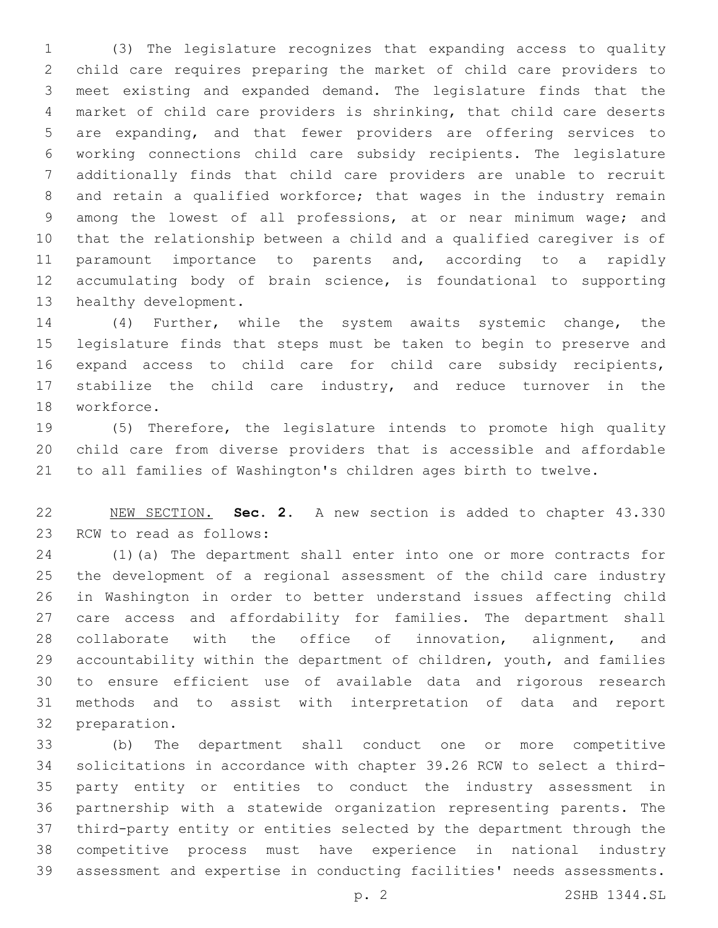(3) The legislature recognizes that expanding access to quality child care requires preparing the market of child care providers to meet existing and expanded demand. The legislature finds that the market of child care providers is shrinking, that child care deserts are expanding, and that fewer providers are offering services to working connections child care subsidy recipients. The legislature additionally finds that child care providers are unable to recruit and retain a qualified workforce; that wages in the industry remain among the lowest of all professions, at or near minimum wage; and that the relationship between a child and a qualified caregiver is of paramount importance to parents and, according to a rapidly accumulating body of brain science, is foundational to supporting 13 healthy development.

 (4) Further, while the system awaits systemic change, the legislature finds that steps must be taken to begin to preserve and expand access to child care for child care subsidy recipients, stabilize the child care industry, and reduce turnover in the 18 workforce.

 (5) Therefore, the legislature intends to promote high quality child care from diverse providers that is accessible and affordable to all families of Washington's children ages birth to twelve.

 NEW SECTION. **Sec. 2.** A new section is added to chapter 43.330 23 RCW to read as follows:

 (1)(a) The department shall enter into one or more contracts for the development of a regional assessment of the child care industry in Washington in order to better understand issues affecting child care access and affordability for families. The department shall collaborate with the office of innovation, alignment, and accountability within the department of children, youth, and families to ensure efficient use of available data and rigorous research methods and to assist with interpretation of data and report 32 preparation.

 (b) The department shall conduct one or more competitive solicitations in accordance with chapter 39.26 RCW to select a third- party entity or entities to conduct the industry assessment in partnership with a statewide organization representing parents. The third-party entity or entities selected by the department through the competitive process must have experience in national industry assessment and expertise in conducting facilities' needs assessments.

p. 2 2SHB 1344.SL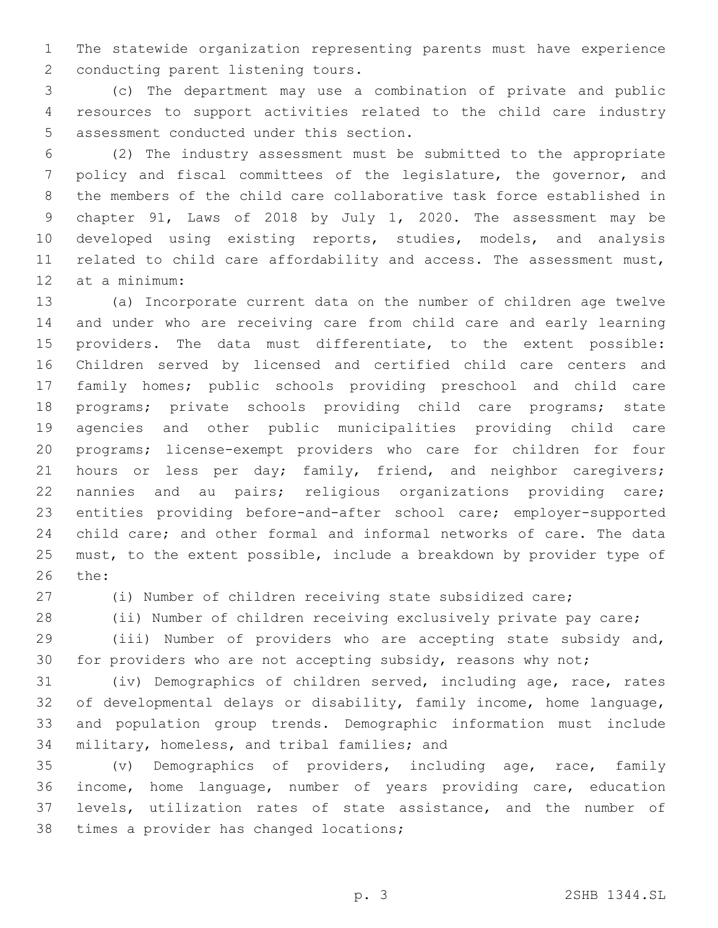The statewide organization representing parents must have experience 2 conducting parent listening tours.

 (c) The department may use a combination of private and public resources to support activities related to the child care industry 5 assessment conducted under this section.

 (2) The industry assessment must be submitted to the appropriate policy and fiscal committees of the legislature, the governor, and the members of the child care collaborative task force established in chapter 91, Laws of 2018 by July 1, 2020. The assessment may be developed using existing reports, studies, models, and analysis related to child care affordability and access. The assessment must, 12 at a minimum:

 (a) Incorporate current data on the number of children age twelve and under who are receiving care from child care and early learning providers. The data must differentiate, to the extent possible: Children served by licensed and certified child care centers and family homes; public schools providing preschool and child care programs; private schools providing child care programs; state agencies and other public municipalities providing child care programs; license-exempt providers who care for children for four 21 hours or less per day; family, friend, and neighbor caregivers; nannies and au pairs; religious organizations providing care; entities providing before-and-after school care; employer-supported child care; and other formal and informal networks of care. The data must, to the extent possible, include a breakdown by provider type of 26 the:

(i) Number of children receiving state subsidized care;

28 (ii) Number of children receiving exclusively private pay care;

 (iii) Number of providers who are accepting state subsidy and, for providers who are not accepting subsidy, reasons why not;

 (iv) Demographics of children served, including age, race, rates of developmental delays or disability, family income, home language, and population group trends. Demographic information must include 34 military, homeless, and tribal families; and

 (v) Demographics of providers, including age, race, family income, home language, number of years providing care, education levels, utilization rates of state assistance, and the number of 38 times a provider has changed locations;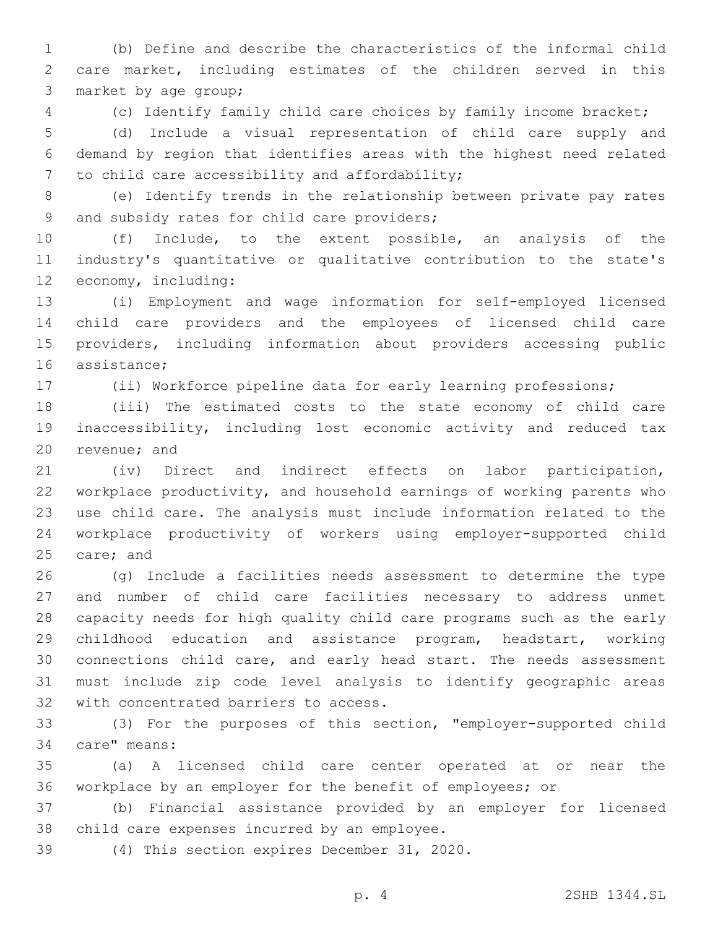(b) Define and describe the characteristics of the informal child care market, including estimates of the children served in this 3 market by age group;

(c) Identify family child care choices by family income bracket;

 (d) Include a visual representation of child care supply and demand by region that identifies areas with the highest need related 7 to child care accessibility and affordability;

 (e) Identify trends in the relationship between private pay rates 9 and subsidy rates for child care providers;

 (f) Include, to the extent possible, an analysis of the industry's quantitative or qualitative contribution to the state's 12 economy, including:

 (i) Employment and wage information for self-employed licensed child care providers and the employees of licensed child care providers, including information about providers accessing public 16 assistance;

(ii) Workforce pipeline data for early learning professions;

 (iii) The estimated costs to the state economy of child care inaccessibility, including lost economic activity and reduced tax 20 revenue; and

 (iv) Direct and indirect effects on labor participation, workplace productivity, and household earnings of working parents who use child care. The analysis must include information related to the workplace productivity of workers using employer-supported child 25 care; and

 (g) Include a facilities needs assessment to determine the type and number of child care facilities necessary to address unmet capacity needs for high quality child care programs such as the early childhood education and assistance program, headstart, working connections child care, and early head start. The needs assessment must include zip code level analysis to identify geographic areas 32 with concentrated barriers to access.

 (3) For the purposes of this section, "employer-supported child 34 care" means:

 (a) A licensed child care center operated at or near the workplace by an employer for the benefit of employees; or

 (b) Financial assistance provided by an employer for licensed 38 child care expenses incurred by an employee.

(4) This section expires December 31, 2020.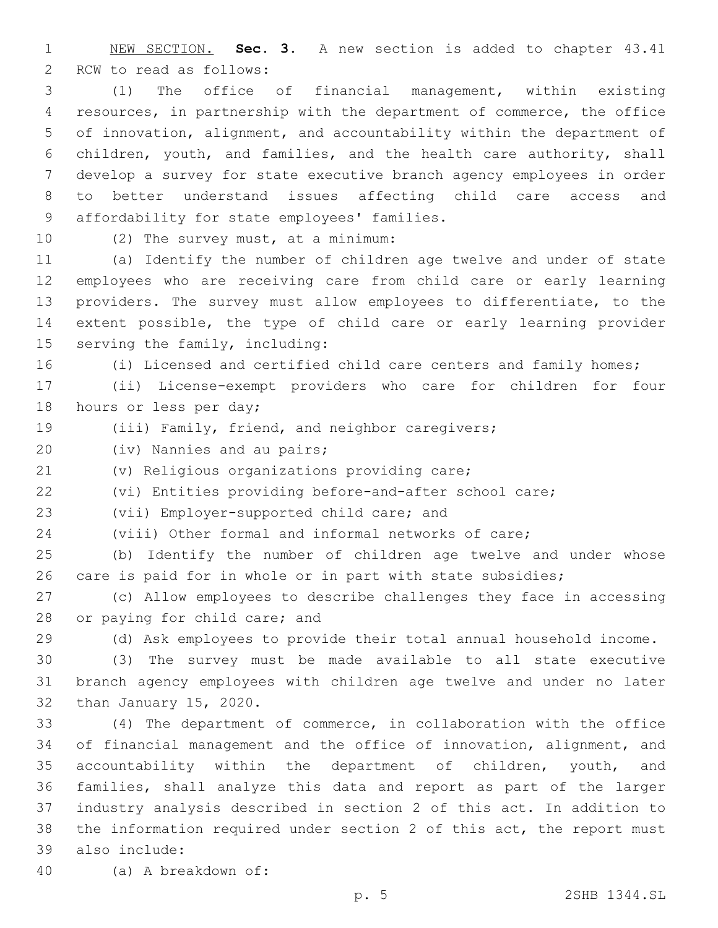NEW SECTION. **Sec. 3.** A new section is added to chapter 43.41 2 RCW to read as follows:

 (1) The office of financial management, within existing resources, in partnership with the department of commerce, the office of innovation, alignment, and accountability within the department of children, youth, and families, and the health care authority, shall develop a survey for state executive branch agency employees in order to better understand issues affecting child care access and 9 affordability for state employees' families.

10 (2) The survey must, at a minimum:

 (a) Identify the number of children age twelve and under of state employees who are receiving care from child care or early learning providers. The survey must allow employees to differentiate, to the extent possible, the type of child care or early learning provider 15 serving the family, including:

(i) Licensed and certified child care centers and family homes;

 (ii) License-exempt providers who care for children for four 18 hours or less per day;

- (iii) Family, friend, and neighbor caregivers;
- 20 (iv) Nannies and au pairs;

(v) Religious organizations providing care;

(vi) Entities providing before-and-after school care;

23 (vii) Employer-supported child care; and

(viii) Other formal and informal networks of care;

 (b) Identify the number of children age twelve and under whose care is paid for in whole or in part with state subsidies;

 (c) Allow employees to describe challenges they face in accessing 28 or paying for child care; and

(d) Ask employees to provide their total annual household income.

 (3) The survey must be made available to all state executive branch agency employees with children age twelve and under no later 32 than January 15, 2020.

 (4) The department of commerce, in collaboration with the office of financial management and the office of innovation, alignment, and accountability within the department of children, youth, and families, shall analyze this data and report as part of the larger industry analysis described in section 2 of this act. In addition to the information required under section 2 of this act, the report must also include:39

40 (a) A breakdown of: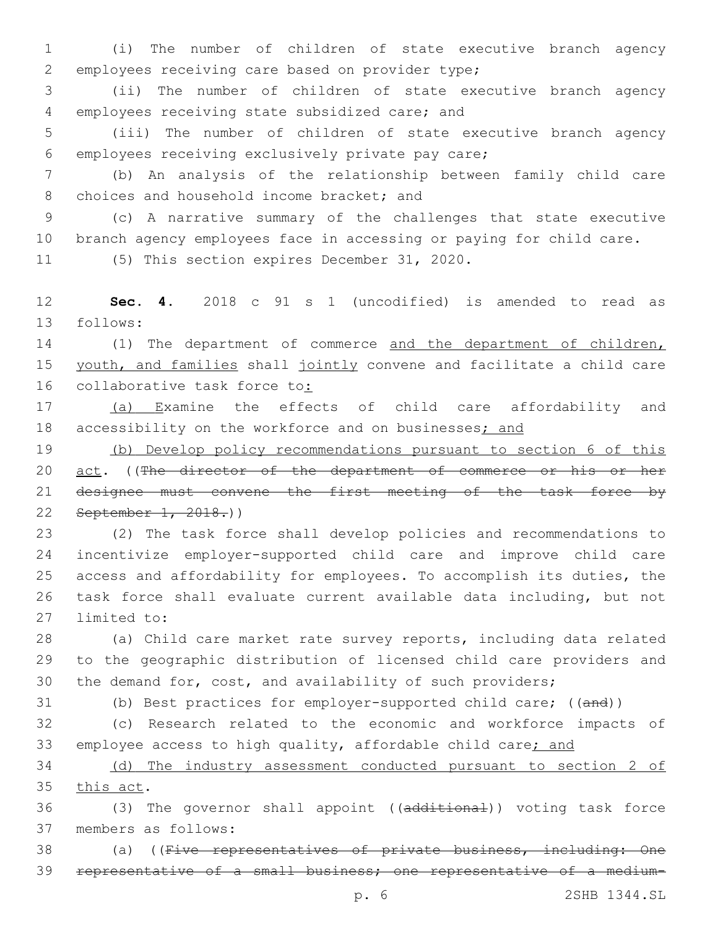1 (i) The number of children of state executive branch agency 2 employees receiving care based on provider type;

3 (ii) The number of children of state executive branch agency employees receiving state subsidized care; and4

5 (iii) The number of children of state executive branch agency 6 employees receiving exclusively private pay care;

7 (b) An analysis of the relationship between family child care 8 choices and household income bracket; and

9 (c) A narrative summary of the challenges that state executive 10 branch agency employees face in accessing or paying for child care.

11 (5) This section expires December 31, 2020.

12 **Sec. 4.** 2018 c 91 s 1 (uncodified) is amended to read as 13 follows:

14 (1) The department of commerce and the department of children, 15 youth, and families shall jointly convene and facilitate a child care 16 collaborative task force to:

17 (a) Examine the effects of child care affordability and 18 accessibility on the workforce and on businesses; and

 (b) Develop policy recommendations pursuant to section 6 of this 20 act. ((The director of the department of commerce or his or her designee must convene the first meeting of the task force by September 1, 2018.))

 (2) The task force shall develop policies and recommendations to incentivize employer-supported child care and improve child care access and affordability for employees. To accomplish its duties, the task force shall evaluate current available data including, but not 27 limited to:

28 (a) Child care market rate survey reports, including data related 29 to the geographic distribution of licensed child care providers and 30 the demand for, cost, and availability of such providers;

31 (b) Best practices for employer-supported child care; ((and))

32 (c) Research related to the economic and workforce impacts of 33 employee access to high quality, affordable child care; and

34 (d) The industry assessment conducted pursuant to section 2 of 35 this act.

36 (3) The governor shall appoint ((additional)) voting task force 37 members as follows:

38 (a) ((Five representatives of private business, including: One 39 representative of a small business; one representative of a medium-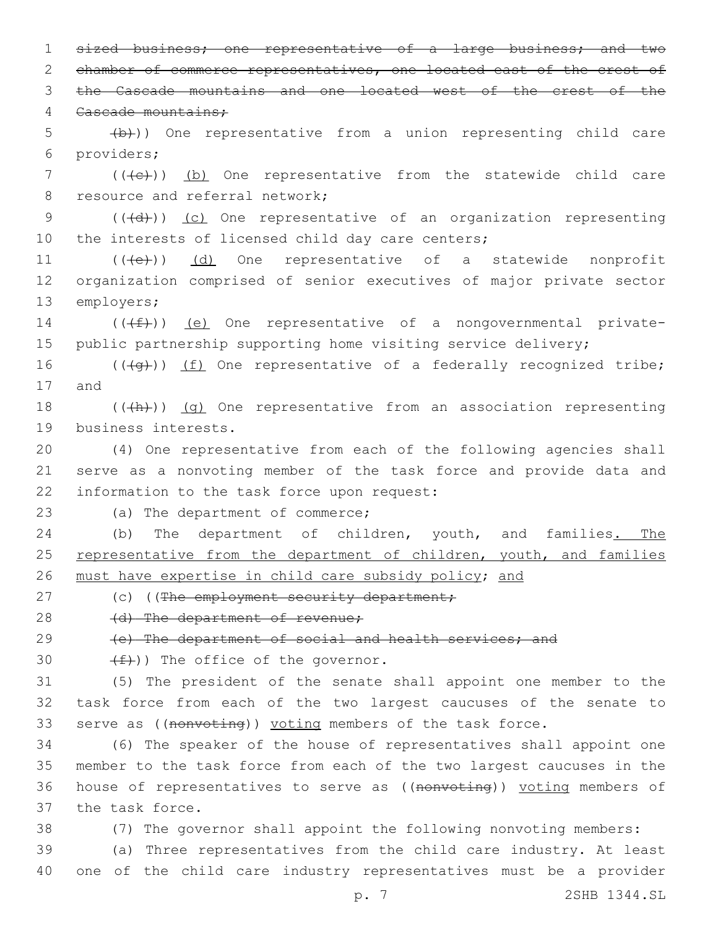1 sized business; one representative of a large business; and two 2 chamber of commerce representatives, one located east of the crest of 3 the Cascade mountains and one located west of the crest of the 4 Cascade mountains: 5 (b)) One representative from a union representing child care providers;6 7 (((+e))) (b) One representative from the statewide child care 8 resource and referral network; 9 (((d)) (c) One representative of an organization representing 10 the interests of licensed child day care centers; 11 (((e)) (d) One representative of a statewide nonprofit 12 organization comprised of senior executives of major private sector 13 employers; 14  $((\text{+f})^2)$  (e) One representative of a nongovernmental private-15 public partnership supporting home visiting service delivery; 16  $((+q+))$  (f) One representative of a federally recognized tribe; 17 and 18  $((+h))$   $(q)$  One representative from an association representing 19 business interests. 20 (4) One representative from each of the following agencies shall 21 serve as a nonvoting member of the task force and provide data and 22 information to the task force upon request: 23 (a) The department of commerce; 24 (b) The department of children, youth, and families. The 25 representative from the department of children, youth, and families 26 must have expertise in child care subsidy policy; and 27 (c) ((The employment security department; 28 (d) The department of revenue; 29 (e) The department of social and health services; and  $(f)$ )) The office of the governor. 31 (5) The president of the senate shall appoint one member to the 32 task force from each of the two largest caucuses of the senate to 33 serve as ((nonvoting)) voting members of the task force. 34 (6) The speaker of the house of representatives shall appoint one 35 member to the task force from each of the two largest caucuses in the 36 house of representatives to serve as ((nonvoting)) voting members of 37 the task force. 38 (7) The governor shall appoint the following nonvoting members: 39 (a) Three representatives from the child care industry. At least 40 one of the child care industry representatives must be a provider

p. 7 2SHB 1344.SL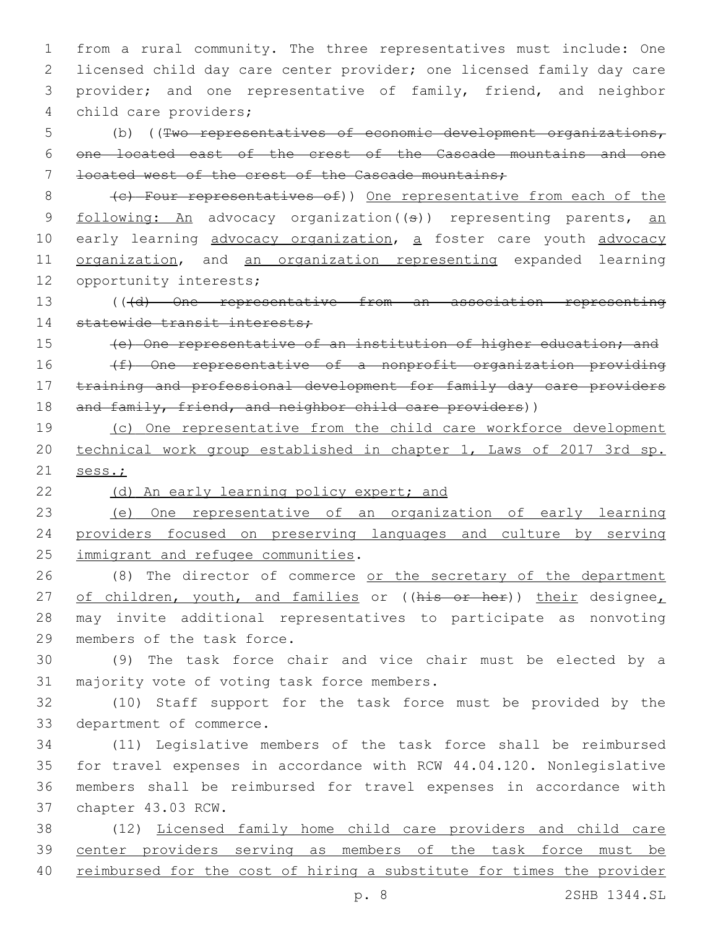from a rural community. The three representatives must include: One licensed child day care center provider; one licensed family day care provider; and one representative of family, friend, and neighbor 4 child care providers;

5 (b) ((Two representatives of economic development organizations, 6 one located east of the crest of the Cascade mountains and one 7 located west of the crest of the Cascade mountains;

8 (c) Four representatives of)) One representative from each of the 9 following: An advocacy organization ((s)) representing parents, an 10 early learning advocacy organization, a foster care youth advocacy 11 organization, and an organization representing expanded learning 12 opportunity interests;

13 (((d) One representative from an association representing 14 statewide transit interests;

15 (e) One representative of an institution of higher education; and

16 (f) One representative of a nonprofit organization providing 17 training and professional development for family day care providers 18 and family, friend, and neighbor child care providers))

19 (c) One representative from the child care workforce development 20 technical work group established in chapter 1, Laws of 2017 3rd sp. 21 sess.;

22 (d) An early learning policy expert; and

23 (e) One representative of an organization of early learning 24 providers focused on preserving languages and culture by serving 25 immigrant and refugee communities.

26 (8) The director of commerce or the secretary of the department 27 of children, youth, and families or ((his or her)) their designee, 28 may invite additional representatives to participate as nonvoting 29 members of the task force.

30 (9) The task force chair and vice chair must be elected by a 31 majority vote of voting task force members.

32 (10) Staff support for the task force must be provided by the 33 department of commerce.

 (11) Legislative members of the task force shall be reimbursed for travel expenses in accordance with RCW 44.04.120. Nonlegislative members shall be reimbursed for travel expenses in accordance with 37 chapter 43.03 RCW.

38 (12) Licensed family home child care providers and child care 39 center providers serving as members of the task force must be 40 reimbursed for the cost of hiring a substitute for times the provider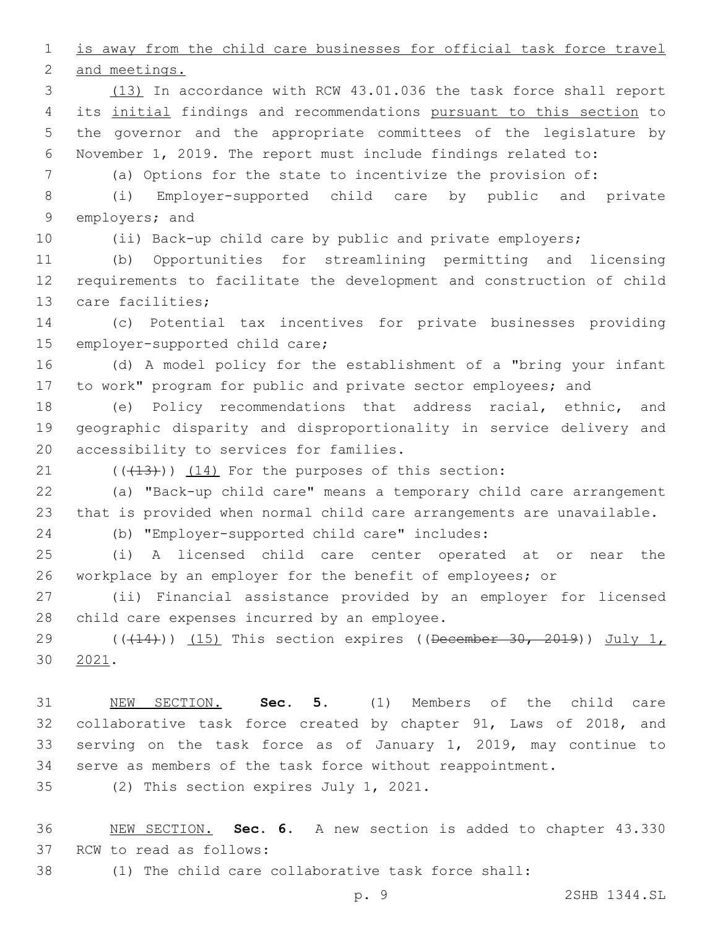1 is away from the child care businesses for official task force travel

2 and meetings.

 (13) In accordance with RCW 43.01.036 the task force shall report 4 its initial findings and recommendations pursuant to this section to the governor and the appropriate committees of the legislature by November 1, 2019. The report must include findings related to:

(a) Options for the state to incentivize the provision of:

 (i) Employer-supported child care by public and private 9 employers; and

(ii) Back-up child care by public and private employers;

 (b) Opportunities for streamlining permitting and licensing requirements to facilitate the development and construction of child 13 care facilities;

 (c) Potential tax incentives for private businesses providing 15 employer-supported child care;

 (d) A model policy for the establishment of a "bring your infant to work" program for public and private sector employees; and

 (e) Policy recommendations that address racial, ethnic, and geographic disparity and disproportionality in service delivery and 20 accessibility to services for families.

 $(1)$   $(13)$ )  $(14)$  For the purposes of this section:

 (a) "Back-up child care" means a temporary child care arrangement that is provided when normal child care arrangements are unavailable.

(b) "Employer-supported child care" includes:24

 (i) A licensed child care center operated at or near the workplace by an employer for the benefit of employees; or

 (ii) Financial assistance provided by an employer for licensed 28 child care expenses incurred by an employee.

 $((+14))$  (15) This section expires ((December 30, 2019)) July 1, 2021.30

 NEW SECTION. **Sec. 5.** (1) Members of the child care collaborative task force created by chapter 91, Laws of 2018, and serving on the task force as of January 1, 2019, may continue to serve as members of the task force without reappointment.

35 (2) This section expires July 1, 2021.

 NEW SECTION. **Sec. 6.** A new section is added to chapter 43.330 37 RCW to read as follows:

(1) The child care collaborative task force shall: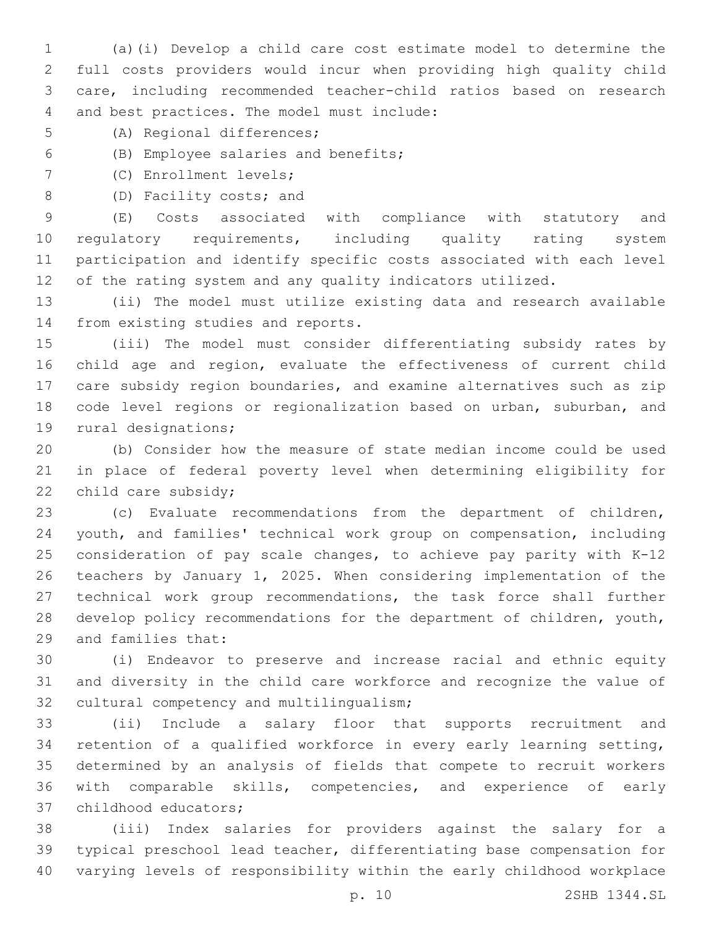(a)(i) Develop a child care cost estimate model to determine the full costs providers would incur when providing high quality child care, including recommended teacher-child ratios based on research 4 and best practices. The model must include:

- 5 (A) Regional differences;
- (B) Employee salaries and benefits;6

7 (C) Enrollment levels;

8 (D) Facility costs; and

 (E) Costs associated with compliance with statutory and regulatory requirements, including quality rating system participation and identify specific costs associated with each level of the rating system and any quality indicators utilized.

 (ii) The model must utilize existing data and research available 14 from existing studies and reports.

 (iii) The model must consider differentiating subsidy rates by child age and region, evaluate the effectiveness of current child care subsidy region boundaries, and examine alternatives such as zip code level regions or regionalization based on urban, suburban, and 19 rural designations;

 (b) Consider how the measure of state median income could be used in place of federal poverty level when determining eligibility for 22 child care subsidy;

 (c) Evaluate recommendations from the department of children, youth, and families' technical work group on compensation, including consideration of pay scale changes, to achieve pay parity with K-12 teachers by January 1, 2025. When considering implementation of the technical work group recommendations, the task force shall further develop policy recommendations for the department of children, youth, 29 and families that:

 (i) Endeavor to preserve and increase racial and ethnic equity and diversity in the child care workforce and recognize the value of 32 cultural competency and multilingualism;

 (ii) Include a salary floor that supports recruitment and retention of a qualified workforce in every early learning setting, determined by an analysis of fields that compete to recruit workers with comparable skills, competencies, and experience of early 37 childhood educators;

 (iii) Index salaries for providers against the salary for a typical preschool lead teacher, differentiating base compensation for varying levels of responsibility within the early childhood workplace

p. 10 2SHB 1344.SL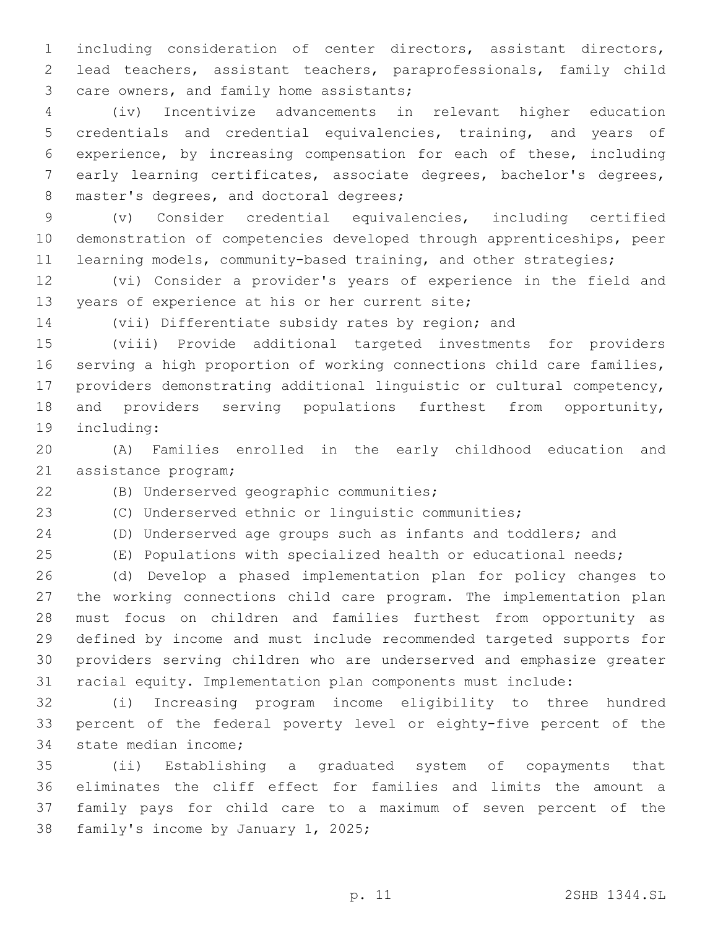including consideration of center directors, assistant directors, lead teachers, assistant teachers, paraprofessionals, family child 3 care owners, and family home assistants;

 (iv) Incentivize advancements in relevant higher education credentials and credential equivalencies, training, and years of experience, by increasing compensation for each of these, including early learning certificates, associate degrees, bachelor's degrees, 8 master's degrees, and doctoral degrees;

 (v) Consider credential equivalencies, including certified demonstration of competencies developed through apprenticeships, peer 11 learning models, community-based training, and other strategies;

 (vi) Consider a provider's years of experience in the field and 13 years of experience at his or her current site;

(vii) Differentiate subsidy rates by region; and

 (viii) Provide additional targeted investments for providers serving a high proportion of working connections child care families, providers demonstrating additional linguistic or cultural competency, and providers serving populations furthest from opportunity, 19 including:

 (A) Families enrolled in the early childhood education and 21 assistance program;

(B) Underserved geographic communities;22

(C) Underserved ethnic or linguistic communities;

(D) Underserved age groups such as infants and toddlers; and

(E) Populations with specialized health or educational needs;

 (d) Develop a phased implementation plan for policy changes to the working connections child care program. The implementation plan must focus on children and families furthest from opportunity as defined by income and must include recommended targeted supports for providers serving children who are underserved and emphasize greater racial equity. Implementation plan components must include:

 (i) Increasing program income eligibility to three hundred percent of the federal poverty level or eighty-five percent of the 34 state median income;

 (ii) Establishing a graduated system of copayments that eliminates the cliff effect for families and limits the amount a family pays for child care to a maximum of seven percent of the 38 family's income by January 1, 2025;